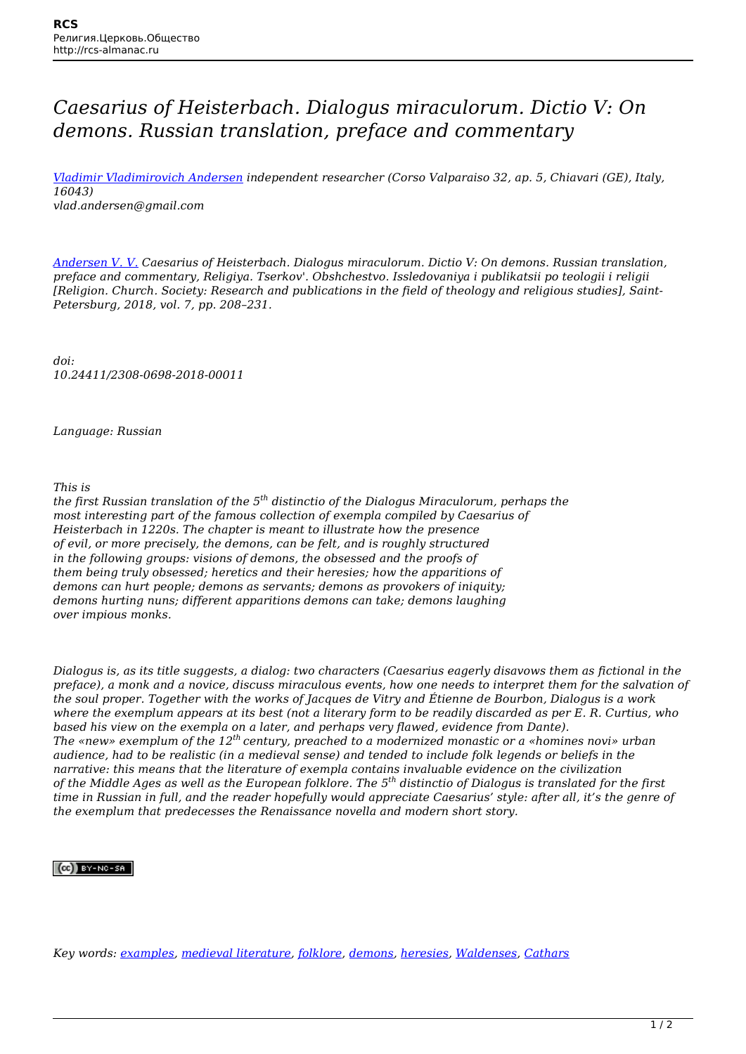## *Caesarius of Heisterbach. Dialogus miraculorum. Dictio V: On demons. Russian translation, preface and commentary*

*[Vladimir Vladimirovich Andersen](http://rcs-almanac.ru/en/tag/vladimir-vladimirovich-andersen/) independent researcher (Corso Valparaiso 32, ap. 5, Chiavari (GE), Italy, 16043) vlad.andersen@gmail.com*

*[Andersen V. V.](http://rcs-almanac.ru/en/tag/andersen-v-v/) Caesarius of Heisterbach. Dialogus miraculorum. Dictio V: On demons. Russian translation, preface and commentary, Religiya. Tserkov'. Obshchestvo. Issledovaniya i publikatsii po teologii i religii [Religion. Church. Society: Research and publications in the field of theology and religious studies], Saint-Petersburg, 2018, vol. 7, pp. 208–231.*

*doi: 10.24411/2308-0698-2018-00011*

*Language: Russian*

*This is*

*the first Russian translation of the 5th distinctio of the Dialogus Miraculorum, perhaps the most interesting part of the famous collection of exempla compiled by Caesarius of Heisterbach in 1220s. The chapter is meant to illustrate how the presence of evil, or more precisely, the demons, can be felt, and is roughly structured in the following groups: visions of demons, the obsessed and the proofs of them being truly obsessed; heretics and their heresies; how the apparitions of demons can hurt people; demons as servants; demons as provokers of iniquity; demons hurting nuns; different apparitions demons can take; demons laughing over impious monks.*

*Dialogus is, as its title suggests, a dialog: two characters (Caesarius eagerly disavows them as fictional in the preface), a monk and a novice, discuss miraculous events, how one needs to interpret them for the salvation of the soul proper. Together with the works of Jacques de Vitry and Étienne de Bourbon, Dialogus is a work where the exemplum appears at its best (not a literary form to be readily discarded as per E. R. Curtius, who based his view on the exempla on a later, and perhaps very flawed, evidence from Dante). The «new» exemplum of the 12th century, preached to a modernized monastic or a «homines novi» urban audience, had to be realistic (in a medieval sense) and tended to include folk legends or beliefs in the narrative: this means that the literature of exempla contains invaluable evidence on the civilization of the Middle Ages as well as the European folklore. The 5th distinctio of Dialogus is translated for the first time in Russian in full, and the reader hopefully would appreciate Caesarius' style: after all, it's the genre of the exemplum that predecesses the Renaissance novella and modern short story.*

## $(Cc)$  BY-NC-SA

*Key words: [examples](http://rcs-almanac.ru/en/tag/examples/), [medieval literature](http://rcs-almanac.ru/en/tag/medieval-literature/), [folklore,](http://rcs-almanac.ru/en/tag/folklore/) [demons](http://rcs-almanac.ru/en/tag/demons/), [heresies](http://rcs-almanac.ru/en/tag/heresies/), [Waldenses,](http://rcs-almanac.ru/en/tag/waldenses/) [Cathars](http://rcs-almanac.ru/en/tag/cathars/)*